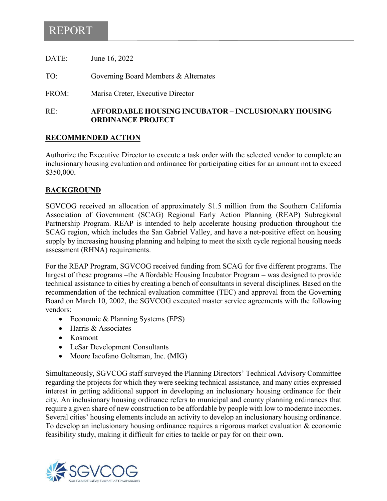## REPORT

| DATE: | June 16, 2022                        |
|-------|--------------------------------------|
| TO:   | Governing Board Members & Alternates |
| FROM: | Marisa Creter, Executive Director    |

RE: **AFFORDABLE HOUSING INCUBATOR – INCLUSIONARY HOUSING ORDINANCE PROJECT**

## **RECOMMENDED ACTION**

Authorize the Executive Director to execute a task order with the selected vendor to complete an inclusionary housing evaluation and ordinance for participating cities for an amount not to exceed \$350,000.

## **BACKGROUND**

SGVCOG received an allocation of approximately \$1.5 million from the Southern California Association of Government (SCAG) Regional Early Action Planning (REAP) Subregional Partnership Program. REAP is intended to help accelerate housing production throughout the SCAG region, which includes the San Gabriel Valley, and have a net-positive effect on housing supply by increasing housing planning and helping to meet the sixth cycle regional housing needs assessment (RHNA) requirements.

For the REAP Program, SGVCOG received funding from SCAG for five different programs. The largest of these programs –the Affordable Housing Incubator Program – was designed to provide technical assistance to cities by creating a bench of consultants in several disciplines. Based on the recommendation of the technical evaluation committee (TEC) and approval from the Governing Board on March 10, 2002, the SGVCOG executed master service agreements with the following vendors:

- Economic & Planning Systems (EPS)
- Harris & Associates
- Kosmont
- LeSar Development Consultants
- Moore Iacofano Goltsman, Inc. (MIG)

Simultaneously, SGVCOG staff surveyed the Planning Directors' Technical Advisory Committee regarding the projects for which they were seeking technical assistance, and many cities expressed interest in getting additional support in developing an inclusionary housing ordinance for their city. An inclusionary housing ordinance refers to municipal and county planning ordinances that require a given share of new construction to be affordable by people with low to moderate incomes. Several cities' housing elements include an activity to develop an inclusionary housing ordinance. To develop an inclusionary housing ordinance requires a rigorous market evaluation & economic feasibility study, making it difficult for cities to tackle or pay for on their own.